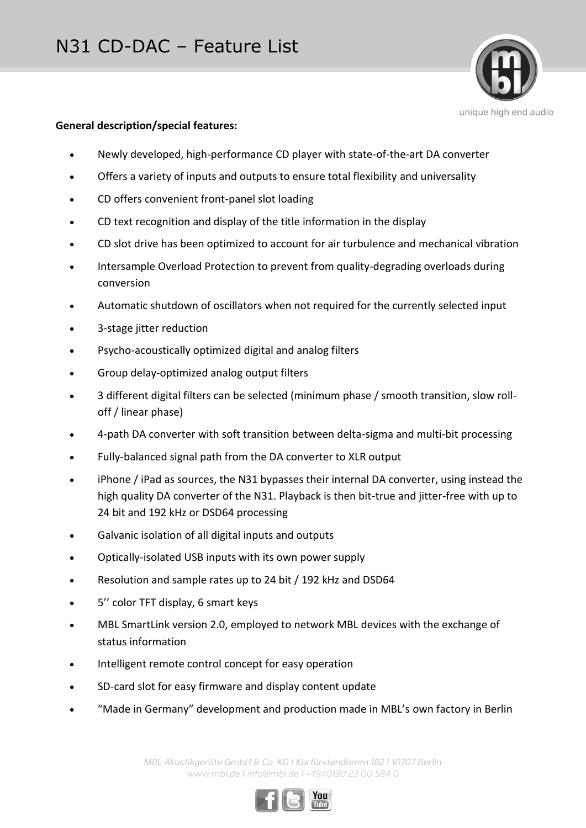### **General description/special features:**

Newly developed, high-performance CD player with state-of-the-art DA converter

unique high end audio

- Offers a variety of inputs and outputs to ensure total flexibility and universality
- CD offers convenient front-panel slot loading
- CD text recognition and display of the title information in the display
- CD slot drive has been optimized to account for air turbulence and mechanical vibration
- Intersample Overload Protection to prevent from quality-degrading overloads during conversion
- Automatic shutdown of oscillators when not required for the currently selected input
- 3-stage jitter reduction
- Psycho-acoustically optimized digital and analog filters
- Group delay-optimized analog output filters
- 3 different digital filters can be selected (minimum phase / smooth transition, slow rolloff / linear phase)
- 4-path DA converter with soft transition between delta-sigma and multi-bit processing
- Fully-balanced signal path from the DA converter to XLR output
- iPhone / iPad as sources, the N31 bypasses their internal DA converter, using instead the high quality DA converter of the N31. Playback is then bit-true and jitter-free with up to 24 bit and 192 kHz or DSD64 processing
- Galvanic isolation of all digital inputs and outputs
- Optically-isolated USB inputs with its own power supply
- Resolution and sample rates up to 24 bit / 192 kHz and DSD64
- 5'' color TFT display, 6 smart keys
- MBL SmartLink version 2.0, employed to network MBL devices with the exchange of status information
- Intelligent remote control concept for easy operation
- SD-card slot for easy firmware and display content update
- "Made in Germany" development and production made in MBL's own factory in Berlin

*MBL Akustikgeräte GmbH & Co. KG | Kurfürstendamm 182 | 10707 Berlin www.mbl.de | info@mbl.de | +49/(0)30 23 00 584 0*